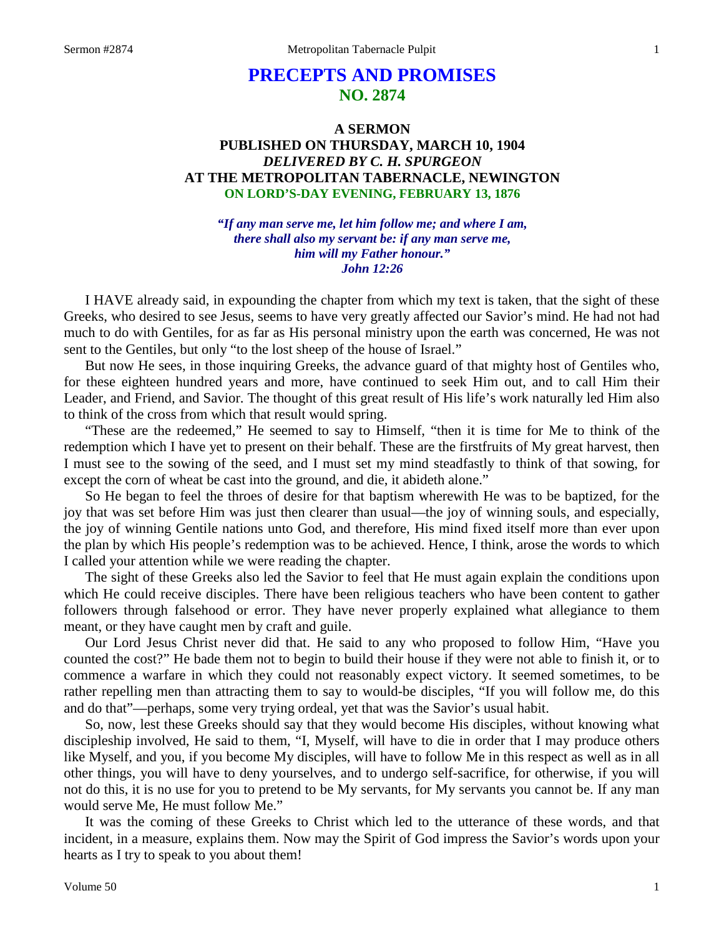# **PRECEPTS AND PROMISES NO. 2874**

### **A SERMON PUBLISHED ON THURSDAY, MARCH 10, 1904** *DELIVERED BY C. H. SPURGEON* **AT THE METROPOLITAN TABERNACLE, NEWINGTON ON LORD'S-DAY EVENING, FEBRUARY 13, 1876**

*"If any man serve me, let him follow me; and where I am, there shall also my servant be: if any man serve me, him will my Father honour." John 12:26*

I HAVE already said, in expounding the chapter from which my text is taken, that the sight of these Greeks, who desired to see Jesus, seems to have very greatly affected our Savior's mind. He had not had much to do with Gentiles, for as far as His personal ministry upon the earth was concerned, He was not sent to the Gentiles, but only "to the lost sheep of the house of Israel."

But now He sees, in those inquiring Greeks, the advance guard of that mighty host of Gentiles who, for these eighteen hundred years and more, have continued to seek Him out, and to call Him their Leader, and Friend, and Savior. The thought of this great result of His life's work naturally led Him also to think of the cross from which that result would spring.

"These are the redeemed," He seemed to say to Himself, "then it is time for Me to think of the redemption which I have yet to present on their behalf. These are the firstfruits of My great harvest, then I must see to the sowing of the seed, and I must set my mind steadfastly to think of that sowing, for except the corn of wheat be cast into the ground, and die, it abideth alone."

So He began to feel the throes of desire for that baptism wherewith He was to be baptized, for the joy that was set before Him was just then clearer than usual—the joy of winning souls, and especially, the joy of winning Gentile nations unto God, and therefore, His mind fixed itself more than ever upon the plan by which His people's redemption was to be achieved. Hence, I think, arose the words to which I called your attention while we were reading the chapter.

The sight of these Greeks also led the Savior to feel that He must again explain the conditions upon which He could receive disciples. There have been religious teachers who have been content to gather followers through falsehood or error. They have never properly explained what allegiance to them meant, or they have caught men by craft and guile.

Our Lord Jesus Christ never did that. He said to any who proposed to follow Him, "Have you counted the cost?" He bade them not to begin to build their house if they were not able to finish it, or to commence a warfare in which they could not reasonably expect victory. It seemed sometimes, to be rather repelling men than attracting them to say to would-be disciples, "If you will follow me, do this and do that"—perhaps, some very trying ordeal, yet that was the Savior's usual habit.

So, now, lest these Greeks should say that they would become His disciples, without knowing what discipleship involved, He said to them, "I, Myself, will have to die in order that I may produce others like Myself, and you, if you become My disciples, will have to follow Me in this respect as well as in all other things, you will have to deny yourselves, and to undergo self-sacrifice, for otherwise, if you will not do this, it is no use for you to pretend to be My servants, for My servants you cannot be. If any man would serve Me, He must follow Me."

It was the coming of these Greeks to Christ which led to the utterance of these words, and that incident, in a measure, explains them. Now may the Spirit of God impress the Savior's words upon your hearts as I try to speak to you about them!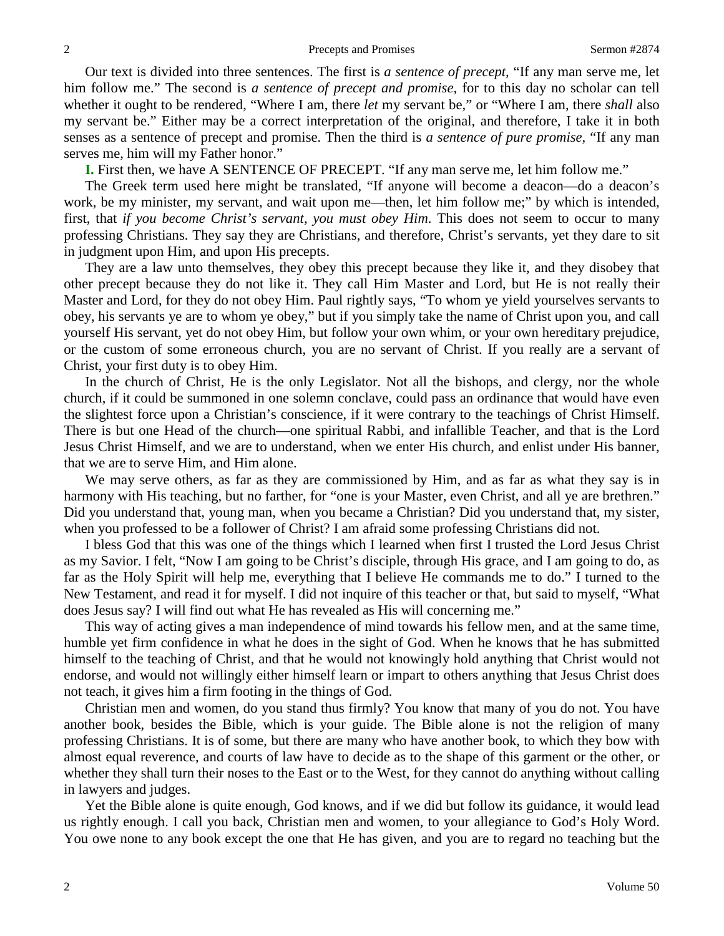Our text is divided into three sentences. The first is *a sentence of precept,* "If any man serve me, let him follow me." The second is *a sentence of precept and promise,* for to this day no scholar can tell whether it ought to be rendered, "Where I am, there *let* my servant be," or "Where I am, there *shall* also my servant be." Either may be a correct interpretation of the original, and therefore, I take it in both senses as a sentence of precept and promise. Then the third is *a sentence of pure promise,* "If any man serves me, him will my Father honor."

**I.** First then, we have A SENTENCE OF PRECEPT. "If any man serve me, let him follow me."

The Greek term used here might be translated, "If anyone will become a deacon—do a deacon's work, be my minister, my servant, and wait upon me—then, let him follow me;" by which is intended, first, that *if you become Christ's servant, you must obey Him*. This does not seem to occur to many professing Christians. They say they are Christians, and therefore, Christ's servants, yet they dare to sit in judgment upon Him, and upon His precepts.

They are a law unto themselves, they obey this precept because they like it, and they disobey that other precept because they do not like it. They call Him Master and Lord, but He is not really their Master and Lord, for they do not obey Him. Paul rightly says, "To whom ye yield yourselves servants to obey, his servants ye are to whom ye obey," but if you simply take the name of Christ upon you, and call yourself His servant, yet do not obey Him, but follow your own whim, or your own hereditary prejudice, or the custom of some erroneous church, you are no servant of Christ. If you really are a servant of Christ, your first duty is to obey Him.

In the church of Christ, He is the only Legislator. Not all the bishops, and clergy, nor the whole church, if it could be summoned in one solemn conclave, could pass an ordinance that would have even the slightest force upon a Christian's conscience, if it were contrary to the teachings of Christ Himself. There is but one Head of the church—one spiritual Rabbi, and infallible Teacher, and that is the Lord Jesus Christ Himself, and we are to understand, when we enter His church, and enlist under His banner, that we are to serve Him, and Him alone.

We may serve others, as far as they are commissioned by Him, and as far as what they say is in harmony with His teaching, but no farther, for "one is your Master, even Christ, and all ye are brethren." Did you understand that, young man, when you became a Christian? Did you understand that, my sister, when you professed to be a follower of Christ? I am afraid some professing Christians did not.

I bless God that this was one of the things which I learned when first I trusted the Lord Jesus Christ as my Savior. I felt, "Now I am going to be Christ's disciple, through His grace, and I am going to do, as far as the Holy Spirit will help me, everything that I believe He commands me to do." I turned to the New Testament, and read it for myself. I did not inquire of this teacher or that, but said to myself, "What does Jesus say? I will find out what He has revealed as His will concerning me."

This way of acting gives a man independence of mind towards his fellow men, and at the same time, humble yet firm confidence in what he does in the sight of God. When he knows that he has submitted himself to the teaching of Christ, and that he would not knowingly hold anything that Christ would not endorse, and would not willingly either himself learn or impart to others anything that Jesus Christ does not teach, it gives him a firm footing in the things of God.

Christian men and women, do you stand thus firmly? You know that many of you do not. You have another book, besides the Bible, which is your guide. The Bible alone is not the religion of many professing Christians. It is of some, but there are many who have another book, to which they bow with almost equal reverence, and courts of law have to decide as to the shape of this garment or the other, or whether they shall turn their noses to the East or to the West, for they cannot do anything without calling in lawyers and judges.

Yet the Bible alone is quite enough, God knows, and if we did but follow its guidance, it would lead us rightly enough. I call you back, Christian men and women, to your allegiance to God's Holy Word. You owe none to any book except the one that He has given, and you are to regard no teaching but the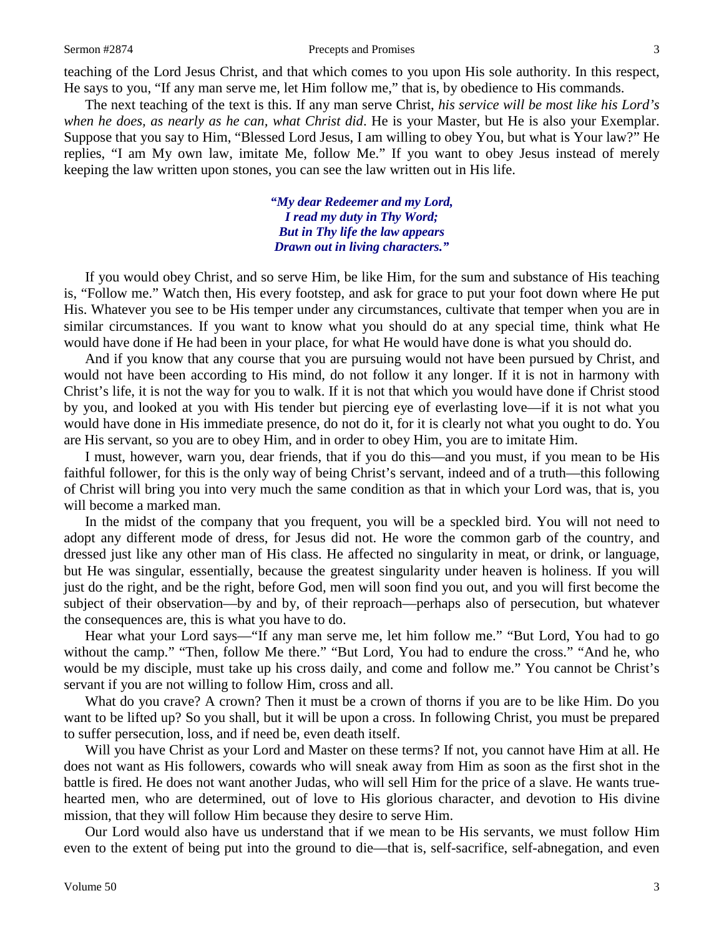#### Sermon #2874 **Precepts and Promises** 3

teaching of the Lord Jesus Christ, and that which comes to you upon His sole authority. In this respect, He says to you, "If any man serve me, let Him follow me," that is, by obedience to His commands.

The next teaching of the text is this. If any man serve Christ, *his service will be most like his Lord's when he does, as nearly as he can, what Christ did*. He is your Master, but He is also your Exemplar. Suppose that you say to Him, "Blessed Lord Jesus, I am willing to obey You, but what is Your law?" He replies, "I am My own law, imitate Me, follow Me." If you want to obey Jesus instead of merely keeping the law written upon stones, you can see the law written out in His life.

> *"My dear Redeemer and my Lord, I read my duty in Thy Word; But in Thy life the law appears Drawn out in living characters."*

If you would obey Christ, and so serve Him, be like Him, for the sum and substance of His teaching is, "Follow me." Watch then, His every footstep, and ask for grace to put your foot down where He put His. Whatever you see to be His temper under any circumstances, cultivate that temper when you are in similar circumstances. If you want to know what you should do at any special time, think what He would have done if He had been in your place, for what He would have done is what you should do.

And if you know that any course that you are pursuing would not have been pursued by Christ, and would not have been according to His mind, do not follow it any longer. If it is not in harmony with Christ's life, it is not the way for you to walk. If it is not that which you would have done if Christ stood by you, and looked at you with His tender but piercing eye of everlasting love—if it is not what you would have done in His immediate presence, do not do it, for it is clearly not what you ought to do. You are His servant, so you are to obey Him, and in order to obey Him, you are to imitate Him.

I must, however, warn you, dear friends, that if you do this—and you must, if you mean to be His faithful follower, for this is the only way of being Christ's servant, indeed and of a truth—this following of Christ will bring you into very much the same condition as that in which your Lord was, that is, you will become a marked man.

In the midst of the company that you frequent, you will be a speckled bird. You will not need to adopt any different mode of dress, for Jesus did not. He wore the common garb of the country, and dressed just like any other man of His class. He affected no singularity in meat, or drink, or language, but He was singular, essentially, because the greatest singularity under heaven is holiness. If you will just do the right, and be the right, before God, men will soon find you out, and you will first become the subject of their observation—by and by, of their reproach—perhaps also of persecution, but whatever the consequences are, this is what you have to do.

Hear what your Lord says—"If any man serve me, let him follow me." "But Lord, You had to go without the camp." "Then, follow Me there." "But Lord, You had to endure the cross." "And he, who would be my disciple, must take up his cross daily, and come and follow me." You cannot be Christ's servant if you are not willing to follow Him, cross and all.

What do you crave? A crown? Then it must be a crown of thorns if you are to be like Him. Do you want to be lifted up? So you shall, but it will be upon a cross. In following Christ, you must be prepared to suffer persecution, loss, and if need be, even death itself.

Will you have Christ as your Lord and Master on these terms? If not, you cannot have Him at all. He does not want as His followers, cowards who will sneak away from Him as soon as the first shot in the battle is fired. He does not want another Judas, who will sell Him for the price of a slave. He wants truehearted men, who are determined, out of love to His glorious character, and devotion to His divine mission, that they will follow Him because they desire to serve Him.

Our Lord would also have us understand that if we mean to be His servants, we must follow Him even to the extent of being put into the ground to die—that is, self-sacrifice, self-abnegation, and even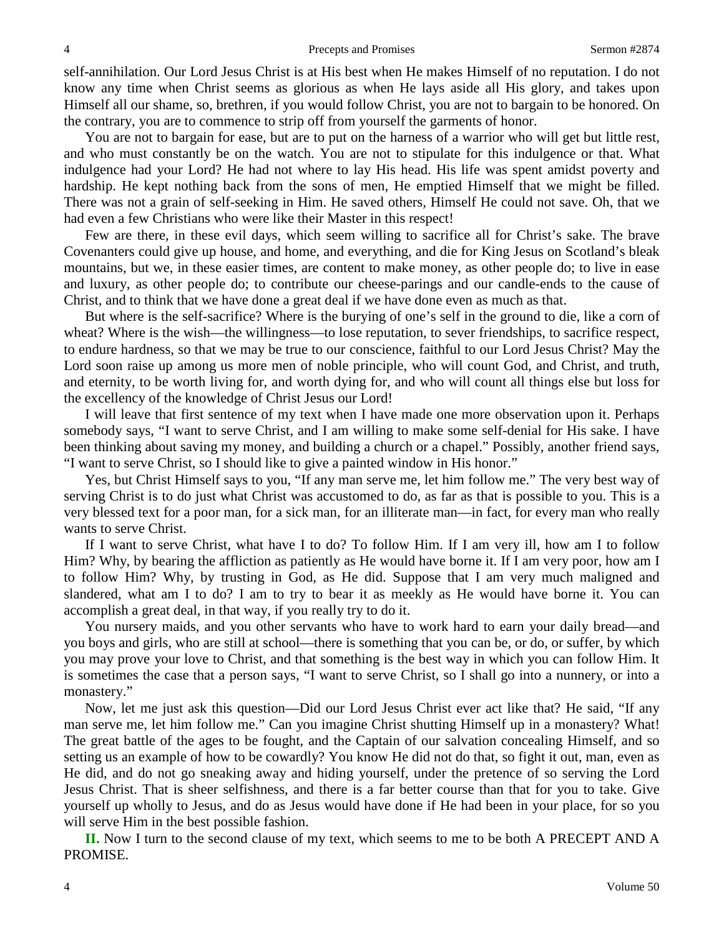self-annihilation. Our Lord Jesus Christ is at His best when He makes Himself of no reputation. I do not know any time when Christ seems as glorious as when He lays aside all His glory, and takes upon Himself all our shame, so, brethren, if you would follow Christ, you are not to bargain to be honored. On the contrary, you are to commence to strip off from yourself the garments of honor.

You are not to bargain for ease, but are to put on the harness of a warrior who will get but little rest, and who must constantly be on the watch. You are not to stipulate for this indulgence or that. What indulgence had your Lord? He had not where to lay His head. His life was spent amidst poverty and hardship. He kept nothing back from the sons of men, He emptied Himself that we might be filled. There was not a grain of self-seeking in Him. He saved others, Himself He could not save. Oh, that we had even a few Christians who were like their Master in this respect!

Few are there, in these evil days, which seem willing to sacrifice all for Christ's sake. The brave Covenanters could give up house, and home, and everything, and die for King Jesus on Scotland's bleak mountains, but we, in these easier times, are content to make money, as other people do; to live in ease and luxury, as other people do; to contribute our cheese-parings and our candle-ends to the cause of Christ, and to think that we have done a great deal if we have done even as much as that.

But where is the self-sacrifice? Where is the burying of one's self in the ground to die, like a corn of wheat? Where is the wish—the willingness—to lose reputation, to sever friendships, to sacrifice respect, to endure hardness, so that we may be true to our conscience, faithful to our Lord Jesus Christ? May the Lord soon raise up among us more men of noble principle, who will count God, and Christ, and truth, and eternity, to be worth living for, and worth dying for, and who will count all things else but loss for the excellency of the knowledge of Christ Jesus our Lord!

I will leave that first sentence of my text when I have made one more observation upon it. Perhaps somebody says, "I want to serve Christ, and I am willing to make some self-denial for His sake. I have been thinking about saving my money, and building a church or a chapel." Possibly, another friend says, "I want to serve Christ, so I should like to give a painted window in His honor."

Yes, but Christ Himself says to you, "If any man serve me, let him follow me." The very best way of serving Christ is to do just what Christ was accustomed to do, as far as that is possible to you. This is a very blessed text for a poor man, for a sick man, for an illiterate man—in fact, for every man who really wants to serve Christ.

If I want to serve Christ, what have I to do? To follow Him. If I am very ill, how am I to follow Him? Why, by bearing the affliction as patiently as He would have borne it. If I am very poor, how am I to follow Him? Why, by trusting in God, as He did. Suppose that I am very much maligned and slandered, what am I to do? I am to try to bear it as meekly as He would have borne it. You can accomplish a great deal, in that way, if you really try to do it.

You nursery maids, and you other servants who have to work hard to earn your daily bread—and you boys and girls, who are still at school—there is something that you can be, or do, or suffer, by which you may prove your love to Christ, and that something is the best way in which you can follow Him. It is sometimes the case that a person says, "I want to serve Christ, so I shall go into a nunnery, or into a monastery."

Now, let me just ask this question—Did our Lord Jesus Christ ever act like that? He said, "If any man serve me, let him follow me." Can you imagine Christ shutting Himself up in a monastery? What! The great battle of the ages to be fought, and the Captain of our salvation concealing Himself, and so setting us an example of how to be cowardly? You know He did not do that, so fight it out, man, even as He did, and do not go sneaking away and hiding yourself, under the pretence of so serving the Lord Jesus Christ. That is sheer selfishness, and there is a far better course than that for you to take. Give yourself up wholly to Jesus, and do as Jesus would have done if He had been in your place, for so you will serve Him in the best possible fashion.

**II.** Now I turn to the second clause of my text, which seems to me to be both A PRECEPT AND A PROMISE.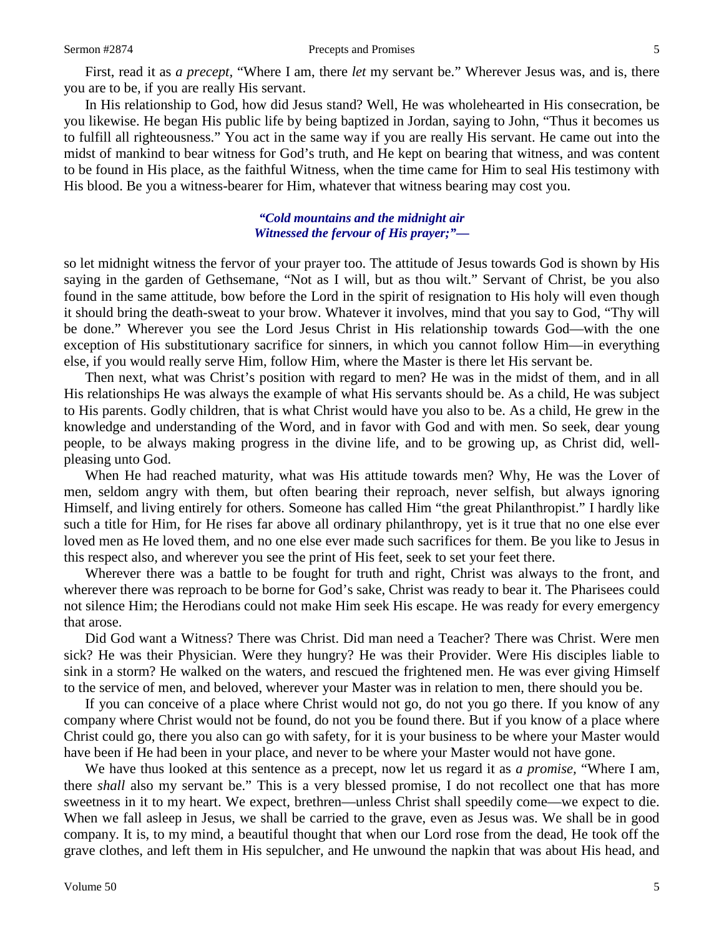First, read it as *a precept,* "Where I am, there *let* my servant be." Wherever Jesus was, and is, there you are to be, if you are really His servant.

In His relationship to God, how did Jesus stand? Well, He was wholehearted in His consecration, be you likewise. He began His public life by being baptized in Jordan, saying to John, "Thus it becomes us to fulfill all righteousness." You act in the same way if you are really His servant. He came out into the midst of mankind to bear witness for God's truth, and He kept on bearing that witness, and was content to be found in His place, as the faithful Witness, when the time came for Him to seal His testimony with His blood. Be you a witness-bearer for Him, whatever that witness bearing may cost you.

#### *"Cold mountains and the midnight air Witnessed the fervour of His prayer;"—*

so let midnight witness the fervor of your prayer too. The attitude of Jesus towards God is shown by His saying in the garden of Gethsemane, "Not as I will, but as thou wilt." Servant of Christ, be you also found in the same attitude, bow before the Lord in the spirit of resignation to His holy will even though it should bring the death-sweat to your brow. Whatever it involves, mind that you say to God, "Thy will be done." Wherever you see the Lord Jesus Christ in His relationship towards God—with the one exception of His substitutionary sacrifice for sinners, in which you cannot follow Him—in everything else, if you would really serve Him, follow Him, where the Master is there let His servant be.

Then next, what was Christ's position with regard to men? He was in the midst of them, and in all His relationships He was always the example of what His servants should be. As a child, He was subject to His parents. Godly children, that is what Christ would have you also to be. As a child, He grew in the knowledge and understanding of the Word, and in favor with God and with men. So seek, dear young people, to be always making progress in the divine life, and to be growing up, as Christ did, wellpleasing unto God.

When He had reached maturity, what was His attitude towards men? Why, He was the Lover of men, seldom angry with them, but often bearing their reproach, never selfish, but always ignoring Himself, and living entirely for others. Someone has called Him "the great Philanthropist." I hardly like such a title for Him, for He rises far above all ordinary philanthropy, yet is it true that no one else ever loved men as He loved them, and no one else ever made such sacrifices for them. Be you like to Jesus in this respect also, and wherever you see the print of His feet, seek to set your feet there.

Wherever there was a battle to be fought for truth and right, Christ was always to the front, and wherever there was reproach to be borne for God's sake, Christ was ready to bear it. The Pharisees could not silence Him; the Herodians could not make Him seek His escape. He was ready for every emergency that arose.

Did God want a Witness? There was Christ. Did man need a Teacher? There was Christ. Were men sick? He was their Physician. Were they hungry? He was their Provider. Were His disciples liable to sink in a storm? He walked on the waters, and rescued the frightened men. He was ever giving Himself to the service of men, and beloved, wherever your Master was in relation to men, there should you be.

If you can conceive of a place where Christ would not go, do not you go there. If you know of any company where Christ would not be found, do not you be found there. But if you know of a place where Christ could go, there you also can go with safety, for it is your business to be where your Master would have been if He had been in your place, and never to be where your Master would not have gone.

We have thus looked at this sentence as a precept, now let us regard it as *a promise,* "Where I am, there *shall* also my servant be." This is a very blessed promise, I do not recollect one that has more sweetness in it to my heart. We expect, brethren—unless Christ shall speedily come—we expect to die. When we fall asleep in Jesus, we shall be carried to the grave, even as Jesus was. We shall be in good company. It is, to my mind, a beautiful thought that when our Lord rose from the dead, He took off the grave clothes, and left them in His sepulcher, and He unwound the napkin that was about His head, and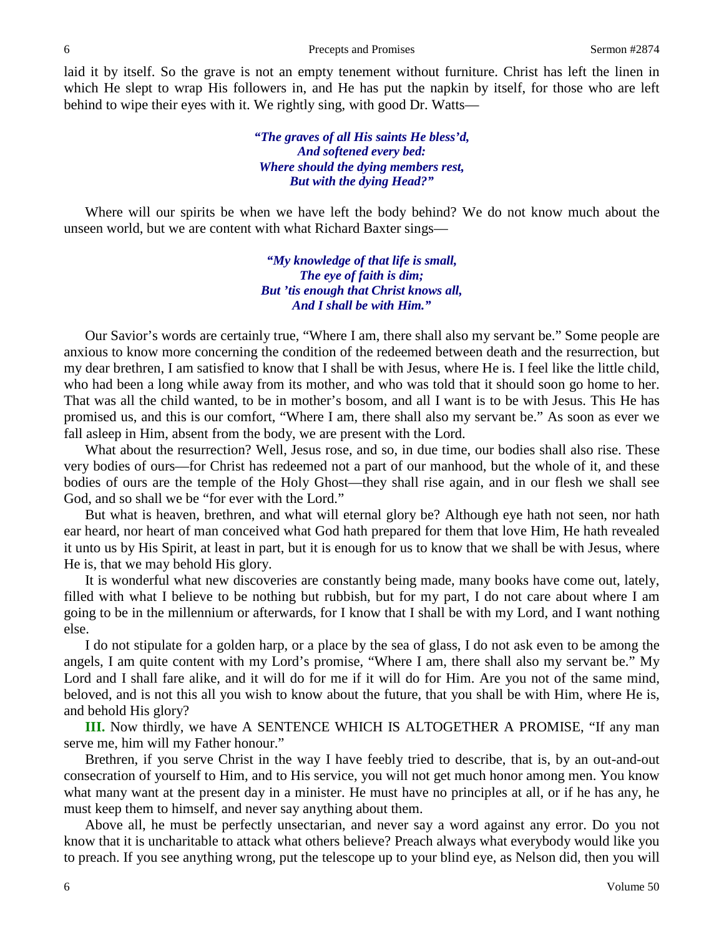laid it by itself. So the grave is not an empty tenement without furniture. Christ has left the linen in which He slept to wrap His followers in, and He has put the napkin by itself, for those who are left behind to wipe their eyes with it. We rightly sing, with good Dr. Watts—

#### *"The graves of all His saints He bless'd, And softened every bed: Where should the dying members rest, But with the dying Head?"*

Where will our spirits be when we have left the body behind? We do not know much about the unseen world, but we are content with what Richard Baxter sings—

> *"My knowledge of that life is small, The eye of faith is dim; But 'tis enough that Christ knows all, And I shall be with Him."*

Our Savior's words are certainly true, "Where I am, there shall also my servant be." Some people are anxious to know more concerning the condition of the redeemed between death and the resurrection, but my dear brethren, I am satisfied to know that I shall be with Jesus, where He is. I feel like the little child, who had been a long while away from its mother, and who was told that it should soon go home to her. That was all the child wanted, to be in mother's bosom, and all I want is to be with Jesus. This He has promised us, and this is our comfort, "Where I am, there shall also my servant be." As soon as ever we fall asleep in Him, absent from the body, we are present with the Lord.

What about the resurrection? Well, Jesus rose, and so, in due time, our bodies shall also rise. These very bodies of ours—for Christ has redeemed not a part of our manhood, but the whole of it, and these bodies of ours are the temple of the Holy Ghost—they shall rise again, and in our flesh we shall see God, and so shall we be "for ever with the Lord."

But what is heaven, brethren, and what will eternal glory be? Although eye hath not seen, nor hath ear heard, nor heart of man conceived what God hath prepared for them that love Him, He hath revealed it unto us by His Spirit, at least in part, but it is enough for us to know that we shall be with Jesus, where He is, that we may behold His glory.

It is wonderful what new discoveries are constantly being made, many books have come out, lately, filled with what I believe to be nothing but rubbish, but for my part, I do not care about where I am going to be in the millennium or afterwards, for I know that I shall be with my Lord, and I want nothing else.

I do not stipulate for a golden harp, or a place by the sea of glass, I do not ask even to be among the angels, I am quite content with my Lord's promise, "Where I am, there shall also my servant be." My Lord and I shall fare alike, and it will do for me if it will do for Him. Are you not of the same mind, beloved, and is not this all you wish to know about the future, that you shall be with Him, where He is, and behold His glory?

**III.** Now thirdly, we have A SENTENCE WHICH IS ALTOGETHER A PROMISE, "If any man serve me, him will my Father honour."

Brethren, if you serve Christ in the way I have feebly tried to describe, that is, by an out-and-out consecration of yourself to Him, and to His service, you will not get much honor among men. You know what many want at the present day in a minister. He must have no principles at all, or if he has any, he must keep them to himself, and never say anything about them.

Above all, he must be perfectly unsectarian, and never say a word against any error. Do you not know that it is uncharitable to attack what others believe? Preach always what everybody would like you to preach. If you see anything wrong, put the telescope up to your blind eye, as Nelson did, then you will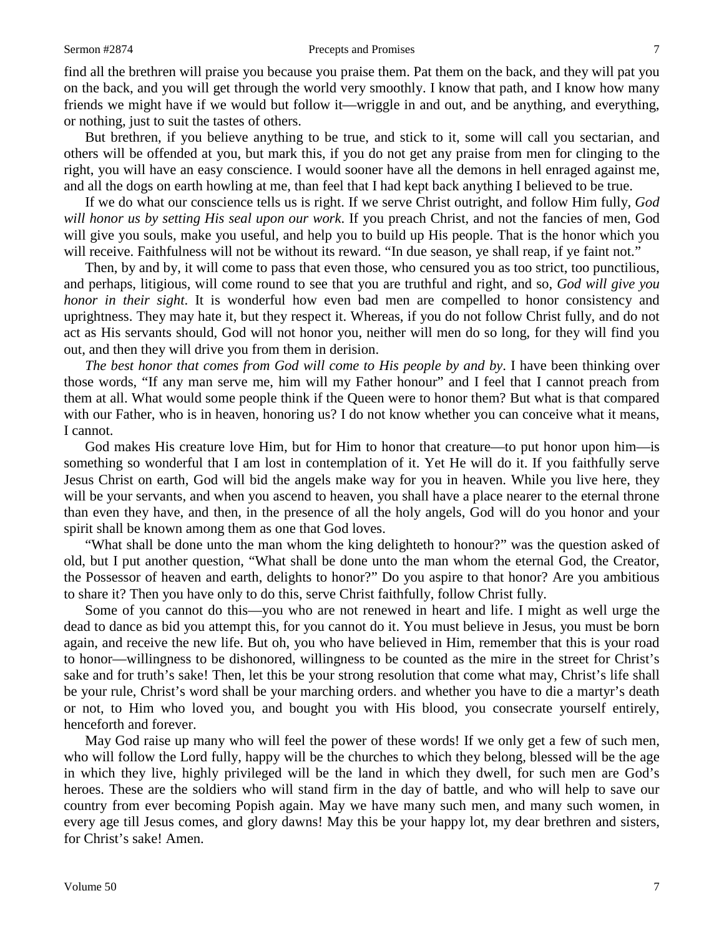find all the brethren will praise you because you praise them. Pat them on the back, and they will pat you on the back, and you will get through the world very smoothly. I know that path, and I know how many friends we might have if we would but follow it—wriggle in and out, and be anything, and everything, or nothing, just to suit the tastes of others.

But brethren, if you believe anything to be true, and stick to it, some will call you sectarian, and others will be offended at you, but mark this, if you do not get any praise from men for clinging to the right, you will have an easy conscience. I would sooner have all the demons in hell enraged against me, and all the dogs on earth howling at me, than feel that I had kept back anything I believed to be true.

If we do what our conscience tells us is right. If we serve Christ outright, and follow Him fully, *God will honor us by setting His seal upon our work*. If you preach Christ, and not the fancies of men, God will give you souls, make you useful, and help you to build up His people. That is the honor which you will receive. Faithfulness will not be without its reward. "In due season, ye shall reap, if ye faint not."

Then, by and by, it will come to pass that even those, who censured you as too strict, too punctilious, and perhaps, litigious, will come round to see that you are truthful and right, and so, *God will give you honor in their sight*. It is wonderful how even bad men are compelled to honor consistency and uprightness. They may hate it, but they respect it. Whereas, if you do not follow Christ fully, and do not act as His servants should, God will not honor you, neither will men do so long, for they will find you out, and then they will drive you from them in derision.

*The best honor that comes from God will come to His people by and by*. I have been thinking over those words, "If any man serve me, him will my Father honour" and I feel that I cannot preach from them at all. What would some people think if the Queen were to honor them? But what is that compared with our Father, who is in heaven, honoring us? I do not know whether you can conceive what it means, I cannot.

God makes His creature love Him, but for Him to honor that creature—to put honor upon him—is something so wonderful that I am lost in contemplation of it. Yet He will do it. If you faithfully serve Jesus Christ on earth, God will bid the angels make way for you in heaven. While you live here, they will be your servants, and when you ascend to heaven, you shall have a place nearer to the eternal throne than even they have, and then, in the presence of all the holy angels, God will do you honor and your spirit shall be known among them as one that God loves.

"What shall be done unto the man whom the king delighteth to honour?" was the question asked of old, but I put another question, "What shall be done unto the man whom the eternal God, the Creator, the Possessor of heaven and earth, delights to honor?" Do you aspire to that honor? Are you ambitious to share it? Then you have only to do this, serve Christ faithfully, follow Christ fully.

Some of you cannot do this—you who are not renewed in heart and life. I might as well urge the dead to dance as bid you attempt this, for you cannot do it. You must believe in Jesus, you must be born again, and receive the new life. But oh, you who have believed in Him, remember that this is your road to honor—willingness to be dishonored, willingness to be counted as the mire in the street for Christ's sake and for truth's sake! Then, let this be your strong resolution that come what may, Christ's life shall be your rule, Christ's word shall be your marching orders. and whether you have to die a martyr's death or not, to Him who loved you, and bought you with His blood, you consecrate yourself entirely, henceforth and forever.

May God raise up many who will feel the power of these words! If we only get a few of such men, who will follow the Lord fully, happy will be the churches to which they belong, blessed will be the age in which they live, highly privileged will be the land in which they dwell, for such men are God's heroes. These are the soldiers who will stand firm in the day of battle, and who will help to save our country from ever becoming Popish again. May we have many such men, and many such women, in every age till Jesus comes, and glory dawns! May this be your happy lot, my dear brethren and sisters, for Christ's sake! Amen.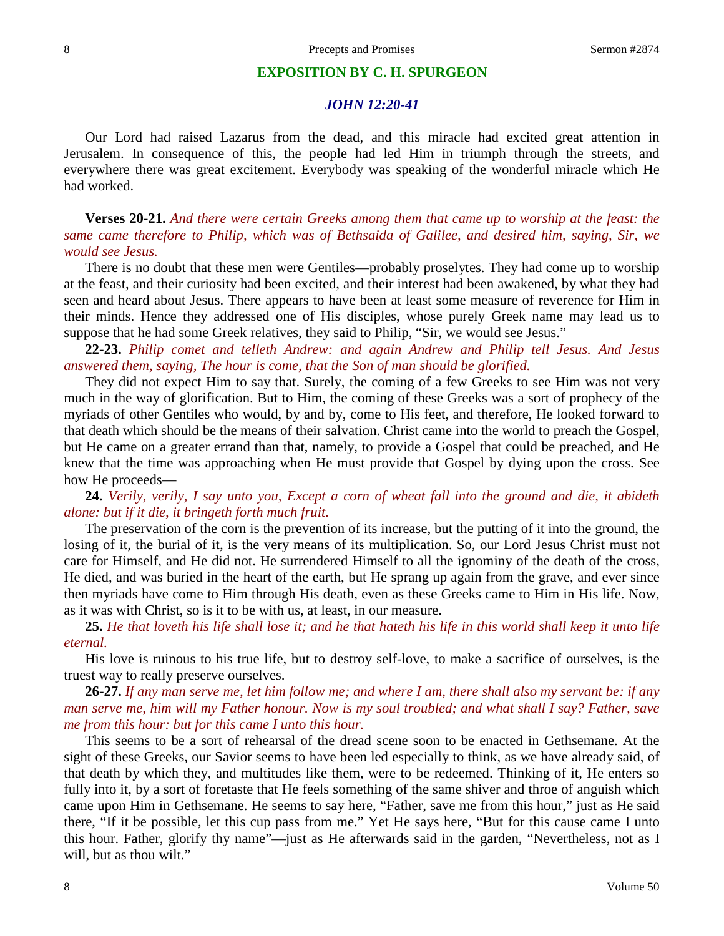#### **EXPOSITION BY C. H. SPURGEON**

### *JOHN 12:20-41*

Our Lord had raised Lazarus from the dead, and this miracle had excited great attention in Jerusalem. In consequence of this, the people had led Him in triumph through the streets, and everywhere there was great excitement. Everybody was speaking of the wonderful miracle which He had worked.

**Verses 20-21.** *And there were certain Greeks among them that came up to worship at the feast: the same came therefore to Philip, which was of Bethsaida of Galilee, and desired him, saying, Sir, we would see Jesus.*

There is no doubt that these men were Gentiles—probably proselytes. They had come up to worship at the feast, and their curiosity had been excited, and their interest had been awakened, by what they had seen and heard about Jesus. There appears to have been at least some measure of reverence for Him in their minds. Hence they addressed one of His disciples, whose purely Greek name may lead us to suppose that he had some Greek relatives, they said to Philip, "Sir, we would see Jesus."

**22-23.** *Philip comet and telleth Andrew: and again Andrew and Philip tell Jesus. And Jesus answered them, saying, The hour is come, that the Son of man should be glorified.*

They did not expect Him to say that. Surely, the coming of a few Greeks to see Him was not very much in the way of glorification. But to Him, the coming of these Greeks was a sort of prophecy of the myriads of other Gentiles who would, by and by, come to His feet, and therefore, He looked forward to that death which should be the means of their salvation. Christ came into the world to preach the Gospel, but He came on a greater errand than that, namely, to provide a Gospel that could be preached, and He knew that the time was approaching when He must provide that Gospel by dying upon the cross. See how He proceeds—

**24.** *Verily, verily, I say unto you, Except a corn of wheat fall into the ground and die, it abideth alone: but if it die, it bringeth forth much fruit.*

The preservation of the corn is the prevention of its increase, but the putting of it into the ground, the losing of it, the burial of it, is the very means of its multiplication. So, our Lord Jesus Christ must not care for Himself, and He did not. He surrendered Himself to all the ignominy of the death of the cross, He died, and was buried in the heart of the earth, but He sprang up again from the grave, and ever since then myriads have come to Him through His death, even as these Greeks came to Him in His life. Now, as it was with Christ, so is it to be with us, at least, in our measure.

**25.** *He that loveth his life shall lose it; and he that hateth his life in this world shall keep it unto life eternal.*

His love is ruinous to his true life, but to destroy self-love, to make a sacrifice of ourselves, is the truest way to really preserve ourselves.

**26-27.** *If any man serve me, let him follow me; and where I am, there shall also my servant be: if any man serve me, him will my Father honour. Now is my soul troubled; and what shall I say? Father, save me from this hour: but for this came I unto this hour.*

This seems to be a sort of rehearsal of the dread scene soon to be enacted in Gethsemane. At the sight of these Greeks, our Savior seems to have been led especially to think, as we have already said, of that death by which they, and multitudes like them, were to be redeemed. Thinking of it, He enters so fully into it, by a sort of foretaste that He feels something of the same shiver and throe of anguish which came upon Him in Gethsemane. He seems to say here, "Father, save me from this hour," just as He said there, "If it be possible, let this cup pass from me." Yet He says here, "But for this cause came I unto this hour. Father, glorify thy name"—just as He afterwards said in the garden, "Nevertheless, not as I will, but as thou wilt."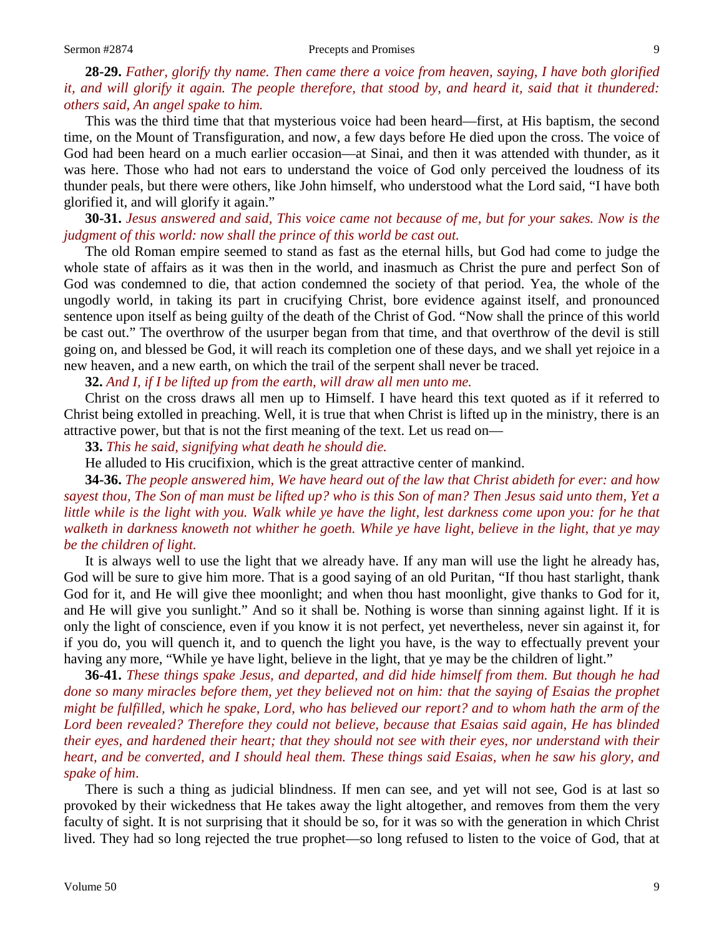## **28-29.** *Father, glorify thy name. Then came there a voice from heaven, saying, I have both glorified it, and will glorify it again. The people therefore, that stood by, and heard it, said that it thundered: others said, An angel spake to him.*

This was the third time that that mysterious voice had been heard—first, at His baptism, the second time, on the Mount of Transfiguration, and now, a few days before He died upon the cross. The voice of God had been heard on a much earlier occasion—at Sinai, and then it was attended with thunder, as it was here. Those who had not ears to understand the voice of God only perceived the loudness of its thunder peals, but there were others, like John himself, who understood what the Lord said, "I have both glorified it, and will glorify it again."

### **30-31.** *Jesus answered and said, This voice came not because of me, but for your sakes. Now is the judgment of this world: now shall the prince of this world be cast out.*

The old Roman empire seemed to stand as fast as the eternal hills, but God had come to judge the whole state of affairs as it was then in the world, and inasmuch as Christ the pure and perfect Son of God was condemned to die, that action condemned the society of that period. Yea, the whole of the ungodly world, in taking its part in crucifying Christ, bore evidence against itself, and pronounced sentence upon itself as being guilty of the death of the Christ of God. "Now shall the prince of this world be cast out." The overthrow of the usurper began from that time, and that overthrow of the devil is still going on, and blessed be God, it will reach its completion one of these days, and we shall yet rejoice in a new heaven, and a new earth, on which the trail of the serpent shall never be traced.

**32.** *And I, if I be lifted up from the earth, will draw all men unto me.*

Christ on the cross draws all men up to Himself. I have heard this text quoted as if it referred to Christ being extolled in preaching. Well, it is true that when Christ is lifted up in the ministry, there is an attractive power, but that is not the first meaning of the text. Let us read on—

**33.** *This he said, signifying what death he should die.*

He alluded to His crucifixion, which is the great attractive center of mankind.

**34-36.** *The people answered him, We have heard out of the law that Christ abideth for ever: and how sayest thou, The Son of man must be lifted up? who is this Son of man? Then Jesus said unto them, Yet a little while is the light with you. Walk while ye have the light, lest darkness come upon you: for he that walketh in darkness knoweth not whither he goeth. While ye have light, believe in the light, that ye may be the children of light.*

It is always well to use the light that we already have. If any man will use the light he already has, God will be sure to give him more. That is a good saying of an old Puritan, "If thou hast starlight, thank God for it, and He will give thee moonlight; and when thou hast moonlight, give thanks to God for it, and He will give you sunlight." And so it shall be. Nothing is worse than sinning against light. If it is only the light of conscience, even if you know it is not perfect, yet nevertheless, never sin against it, for if you do, you will quench it, and to quench the light you have, is the way to effectually prevent your having any more, "While ye have light, believe in the light, that ye may be the children of light."

**36-41.** *These things spake Jesus, and departed, and did hide himself from them. But though he had done so many miracles before them, yet they believed not on him: that the saying of Esaias the prophet might be fulfilled, which he spake, Lord, who has believed our report? and to whom hath the arm of the Lord been revealed? Therefore they could not believe, because that Esaias said again, He has blinded their eyes, and hardened their heart; that they should not see with their eyes, nor understand with their heart, and be converted, and I should heal them. These things said Esaias, when he saw his glory, and spake of him*.

There is such a thing as judicial blindness. If men can see, and yet will not see, God is at last so provoked by their wickedness that He takes away the light altogether, and removes from them the very faculty of sight. It is not surprising that it should be so, for it was so with the generation in which Christ lived. They had so long rejected the true prophet—so long refused to listen to the voice of God, that at